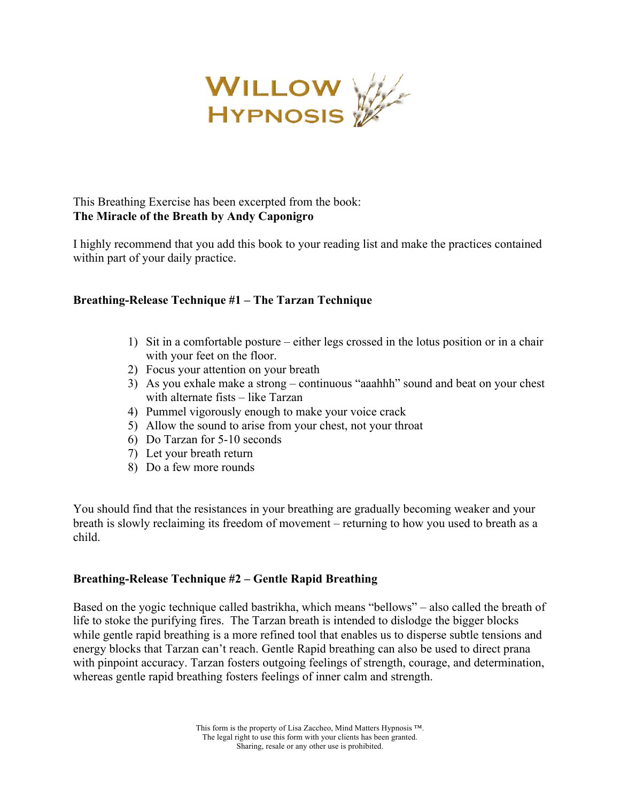

I highly recommend that you add this book to your reading list and make the practices contained within part of your daily practice.

# **Breathing-Release Technique #1 – The Tarzan Technique**

- 1) Sit in a comfortable posture either legs crossed in the lotus position or in a chair with your feet on the floor.
- 2) Focus your attention on your breath
- 3) As you exhale make a strong continuous "aaahhh" sound and beat on your chest with alternate fists – like Tarzan
- 4) Pummel vigorously enough to make your voice crack
- 5) Allow the sound to arise from your chest, not your throat
- 6) Do Tarzan for 5-10 seconds
- 7) Let your breath return
- 8) Do a few more rounds

You should find that the resistances in your breathing are gradually becoming weaker and your breath is slowly reclaiming its freedom of movement – returning to how you used to breath as a child.

### **Breathing-Release Technique #2 – Gentle Rapid Breathing**

Based on the yogic technique called bastrikha, which means "bellows" – also called the breath of life to stoke the purifying fires. The Tarzan breath is intended to dislodge the bigger blocks while gentle rapid breathing is a more refined tool that enables us to disperse subtle tensions and energy blocks that Tarzan can't reach. Gentle Rapid breathing can also be used to direct prana with pinpoint accuracy. Tarzan fosters outgoing feelings of strength, courage, and determination, whereas gentle rapid breathing fosters feelings of inner calm and strength.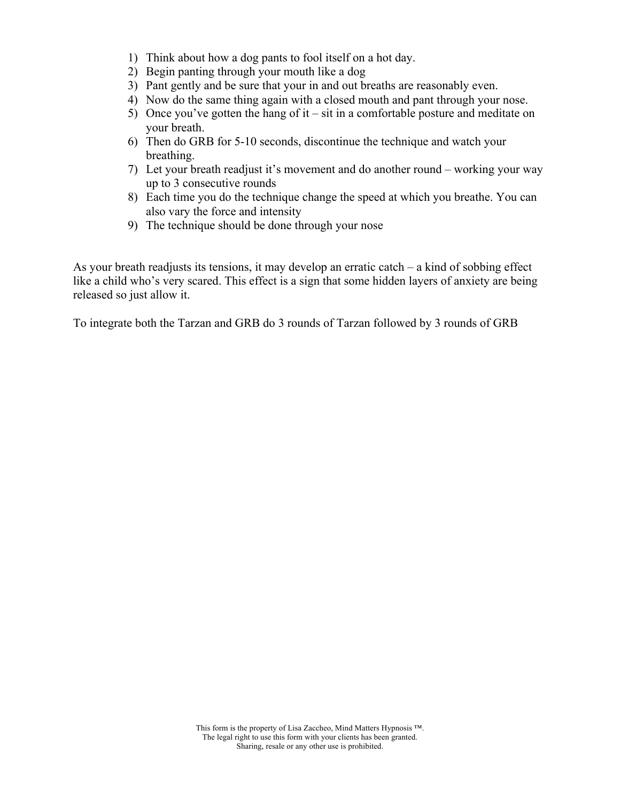- 1) Think about how a dog pants to fool itself on a hot day.
- 2) Begin panting through your mouth like a dog
- 3) Pant gently and be sure that your in and out breaths are reasonably even.
- 4) Now do the same thing again with a closed mouth and pant through your nose.
- 5) Once you've gotten the hang of it sit in a comfortable posture and meditate on your breath.
- 6) Then do GRB for 5-10 seconds, discontinue the technique and watch your breathing.
- 7) Let your breath readjust it's movement and do another round working your way up to 3 consecutive rounds
- 8) Each time you do the technique change the speed at which you breathe. You can also vary the force and intensity
- 9) The technique should be done through your nose

As your breath readjusts its tensions, it may develop an erratic catch – a kind of sobbing effect like a child who's very scared. This effect is a sign that some hidden layers of anxiety are being released so just allow it.

To integrate both the Tarzan and GRB do 3 rounds of Tarzan followed by 3 rounds of GRB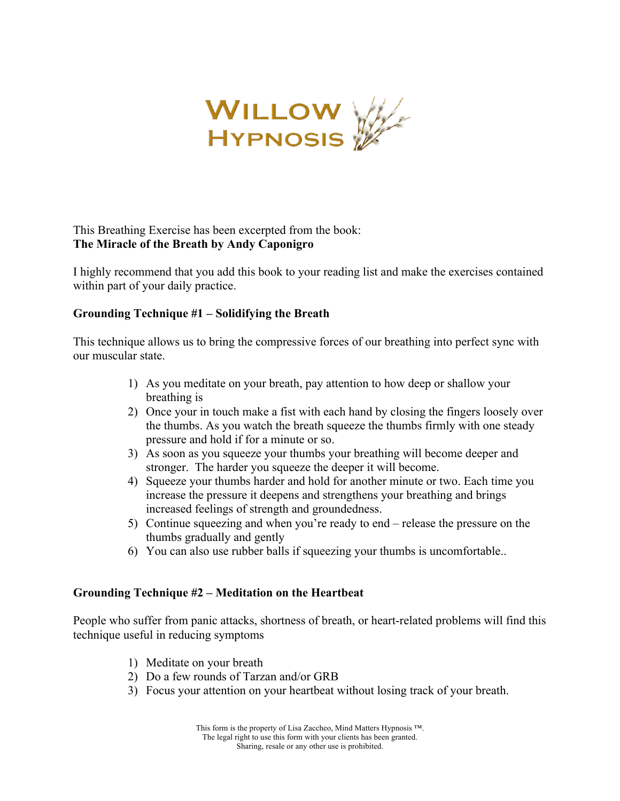

I highly recommend that you add this book to your reading list and make the exercises contained within part of your daily practice.

### **Grounding Technique #1 – Solidifying the Breath**

This technique allows us to bring the compressive forces of our breathing into perfect sync with our muscular state.

- 1) As you meditate on your breath, pay attention to how deep or shallow your breathing is
- 2) Once your in touch make a fist with each hand by closing the fingers loosely over the thumbs. As you watch the breath squeeze the thumbs firmly with one steady pressure and hold if for a minute or so.
- 3) As soon as you squeeze your thumbs your breathing will become deeper and stronger. The harder you squeeze the deeper it will become.
- 4) Squeeze your thumbs harder and hold for another minute or two. Each time you increase the pressure it deepens and strengthens your breathing and brings increased feelings of strength and groundedness.
- 5) Continue squeezing and when you're ready to end release the pressure on the thumbs gradually and gently
- 6) You can also use rubber balls if squeezing your thumbs is uncomfortable..

### **Grounding Technique #2 – Meditation on the Heartbeat**

People who suffer from panic attacks, shortness of breath, or heart-related problems will find this technique useful in reducing symptoms

- 1) Meditate on your breath
- 2) Do a few rounds of Tarzan and/or GRB
- 3) Focus your attention on your heartbeat without losing track of your breath.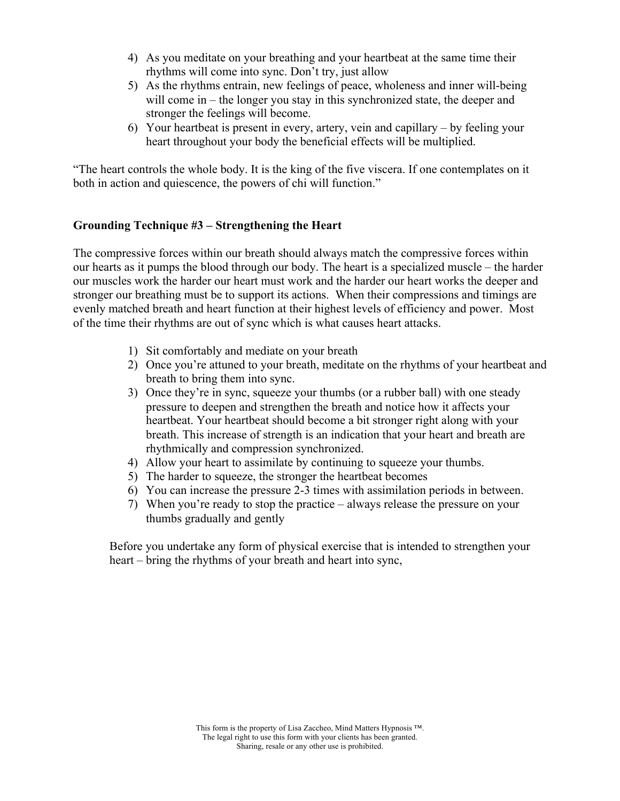- 4) As you meditate on your breathing and your heartbeat at the same time their rhythms will come into sync. Don't try, just allow
- 5) As the rhythms entrain, new feelings of peace, wholeness and inner will-being will come in – the longer you stay in this synchronized state, the deeper and stronger the feelings will become.
- 6) Your heartbeat is present in every, artery, vein and capillary by feeling your heart throughout your body the beneficial effects will be multiplied.

"The heart controls the whole body. It is the king of the five viscera. If one contemplates on it both in action and quiescence, the powers of chi will function."

# **Grounding Technique #3 – Strengthening the Heart**

The compressive forces within our breath should always match the compressive forces within our hearts as it pumps the blood through our body. The heart is a specialized muscle – the harder our muscles work the harder our heart must work and the harder our heart works the deeper and stronger our breathing must be to support its actions. When their compressions and timings are evenly matched breath and heart function at their highest levels of efficiency and power. Most of the time their rhythms are out of sync which is what causes heart attacks.

- 1) Sit comfortably and mediate on your breath
- 2) Once you're attuned to your breath, meditate on the rhythms of your heartbeat and breath to bring them into sync.
- 3) Once they're in sync, squeeze your thumbs (or a rubber ball) with one steady pressure to deepen and strengthen the breath and notice how it affects your heartbeat. Your heartbeat should become a bit stronger right along with your breath. This increase of strength is an indication that your heart and breath are rhythmically and compression synchronized.
- 4) Allow your heart to assimilate by continuing to squeeze your thumbs.
- 5) The harder to squeeze, the stronger the heartbeat becomes
- 6) You can increase the pressure 2-3 times with assimilation periods in between.
- 7) When you're ready to stop the practice always release the pressure on your thumbs gradually and gently

Before you undertake any form of physical exercise that is intended to strengthen your heart – bring the rhythms of your breath and heart into sync,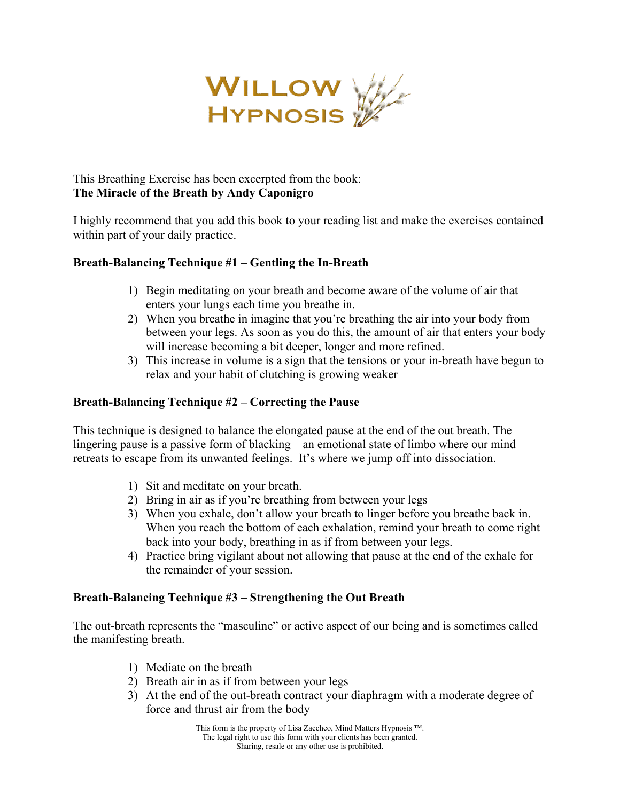

I highly recommend that you add this book to your reading list and make the exercises contained within part of your daily practice.

# **Breath-Balancing Technique #1 – Gentling the In-Breath**

- 1) Begin meditating on your breath and become aware of the volume of air that enters your lungs each time you breathe in.
- 2) When you breathe in imagine that you're breathing the air into your body from between your legs. As soon as you do this, the amount of air that enters your body will increase becoming a bit deeper, longer and more refined.
- 3) This increase in volume is a sign that the tensions or your in-breath have begun to relax and your habit of clutching is growing weaker

## **Breath-Balancing Technique #2 – Correcting the Pause**

This technique is designed to balance the elongated pause at the end of the out breath. The lingering pause is a passive form of blacking – an emotional state of limbo where our mind retreats to escape from its unwanted feelings. It's where we jump off into dissociation.

- 1) Sit and meditate on your breath.
- 2) Bring in air as if you're breathing from between your legs
- 3) When you exhale, don't allow your breath to linger before you breathe back in. When you reach the bottom of each exhalation, remind your breath to come right back into your body, breathing in as if from between your legs.
- 4) Practice bring vigilant about not allowing that pause at the end of the exhale for the remainder of your session.

### **Breath-Balancing Technique #3 – Strengthening the Out Breath**

The out-breath represents the "masculine" or active aspect of our being and is sometimes called the manifesting breath.

- 1) Mediate on the breath
- 2) Breath air in as if from between your legs
- 3) At the end of the out-breath contract your diaphragm with a moderate degree of force and thrust air from the body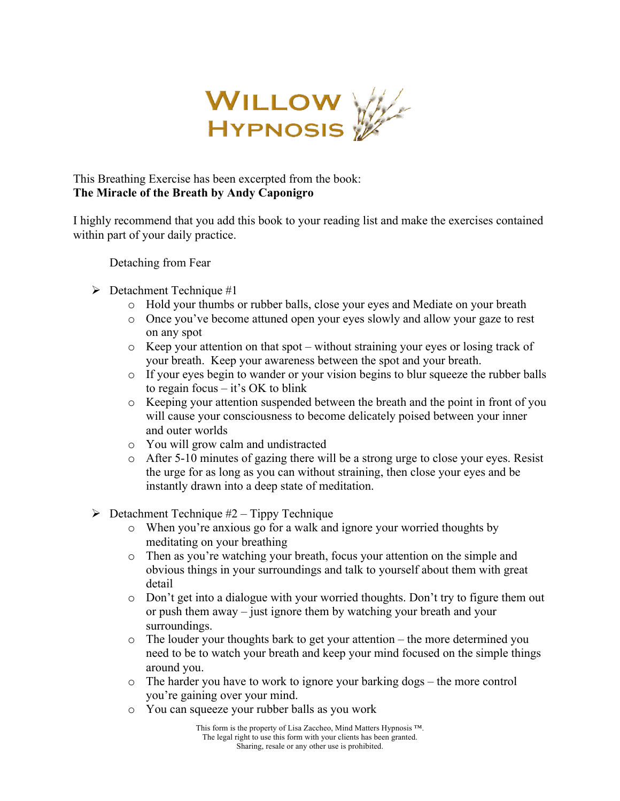

I highly recommend that you add this book to your reading list and make the exercises contained within part of your daily practice.

Detaching from Fear

- $\triangleright$  Detachment Technique #1
	- o Hold your thumbs or rubber balls, close your eyes and Mediate on your breath
	- o Once you've become attuned open your eyes slowly and allow your gaze to rest on any spot
	- $\circ$  Keep your attention on that spot without straining your eyes or losing track of your breath. Keep your awareness between the spot and your breath.
	- $\circ$  If your eyes begin to wander or your vision begins to blur squeeze the rubber balls to regain focus – it's OK to blink
	- o Keeping your attention suspended between the breath and the point in front of you will cause your consciousness to become delicately poised between your inner and outer worlds
	- o You will grow calm and undistracted
	- $\circ$  After 5-10 minutes of gazing there will be a strong urge to close your eyes. Resist the urge for as long as you can without straining, then close your eyes and be instantly drawn into a deep state of meditation.
- $\triangleright$  Detachment Technique #2 Tippy Technique
	- o When you're anxious go for a walk and ignore your worried thoughts by meditating on your breathing
	- o Then as you're watching your breath, focus your attention on the simple and obvious things in your surroundings and talk to yourself about them with great detail
	- $\circ$  Don't get into a dialogue with your worried thoughts. Don't try to figure them out or push them away – just ignore them by watching your breath and your surroundings.
	- o The louder your thoughts bark to get your attention the more determined you need to be to watch your breath and keep your mind focused on the simple things around you.
	- o The harder you have to work to ignore your barking dogs the more control you're gaining over your mind.
	- o You can squeeze your rubber balls as you work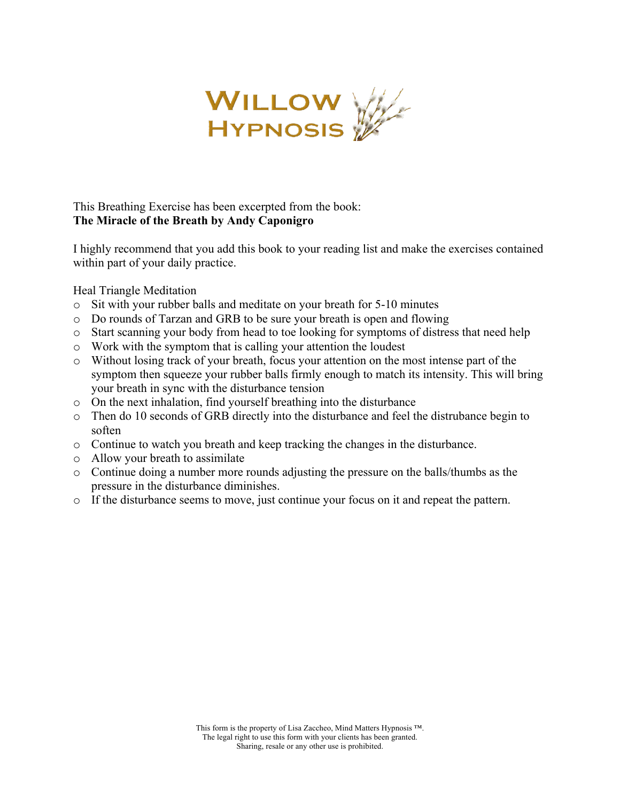

I highly recommend that you add this book to your reading list and make the exercises contained within part of your daily practice.

Heal Triangle Meditation

- o Sit with your rubber balls and meditate on your breath for 5-10 minutes
- o Do rounds of Tarzan and GRB to be sure your breath is open and flowing
- o Start scanning your body from head to toe looking for symptoms of distress that need help
- o Work with the symptom that is calling your attention the loudest
- o Without losing track of your breath, focus your attention on the most intense part of the symptom then squeeze your rubber balls firmly enough to match its intensity. This will bring your breath in sync with the disturbance tension
- o On the next inhalation, find yourself breathing into the disturbance
- o Then do 10 seconds of GRB directly into the disturbance and feel the distrubance begin to soften
- o Continue to watch you breath and keep tracking the changes in the disturbance.
- o Allow your breath to assimilate
- o Continue doing a number more rounds adjusting the pressure on the balls/thumbs as the pressure in the disturbance diminishes.
- o If the disturbance seems to move, just continue your focus on it and repeat the pattern.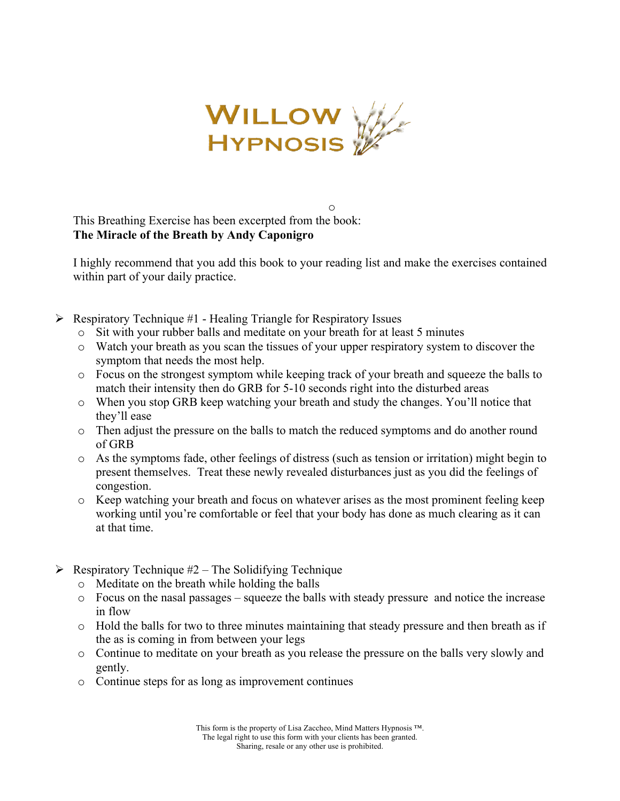

I highly recommend that you add this book to your reading list and make the exercises contained within part of your daily practice.

- $\triangleright$  Respiratory Technique #1 Healing Triangle for Respiratory Issues
	- o Sit with your rubber balls and meditate on your breath for at least 5 minutes
	- o Watch your breath as you scan the tissues of your upper respiratory system to discover the symptom that needs the most help.
	- o Focus on the strongest symptom while keeping track of your breath and squeeze the balls to match their intensity then do GRB for 5-10 seconds right into the disturbed areas
	- o When you stop GRB keep watching your breath and study the changes. You'll notice that they'll ease
	- o Then adjust the pressure on the balls to match the reduced symptoms and do another round of GRB
	- o As the symptoms fade, other feelings of distress (such as tension or irritation) might begin to present themselves. Treat these newly revealed disturbances just as you did the feelings of congestion.
	- o Keep watching your breath and focus on whatever arises as the most prominent feeling keep working until you're comfortable or feel that your body has done as much clearing as it can at that time.
- $\triangleright$  Respiratory Technique #2 The Solidifying Technique
	- o Meditate on the breath while holding the balls
	- $\circ$  Focus on the nasal passages squeeze the balls with steady pressure and notice the increase in flow
	- o Hold the balls for two to three minutes maintaining that steady pressure and then breath as if the as is coming in from between your legs
	- o Continue to meditate on your breath as you release the pressure on the balls very slowly and gently.
	- o Continue steps for as long as improvement continues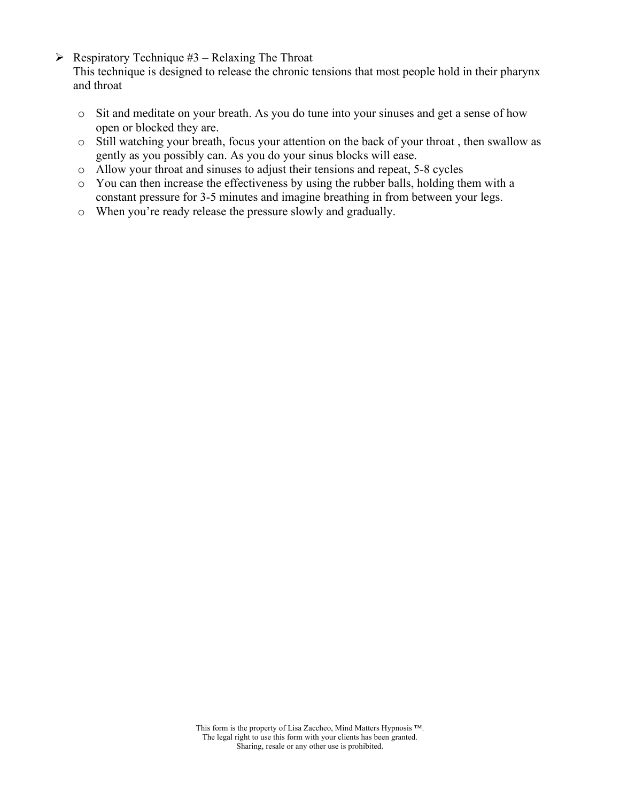$\triangleright$  Respiratory Technique #3 – Relaxing The Throat

This technique is designed to release the chronic tensions that most people hold in their pharynx and throat

- o Sit and meditate on your breath. As you do tune into your sinuses and get a sense of how open or blocked they are.
- o Still watching your breath, focus your attention on the back of your throat , then swallow as gently as you possibly can. As you do your sinus blocks will ease.
- o Allow your throat and sinuses to adjust their tensions and repeat, 5-8 cycles
- o You can then increase the effectiveness by using the rubber balls, holding them with a constant pressure for 3-5 minutes and imagine breathing in from between your legs.
- o When you're ready release the pressure slowly and gradually.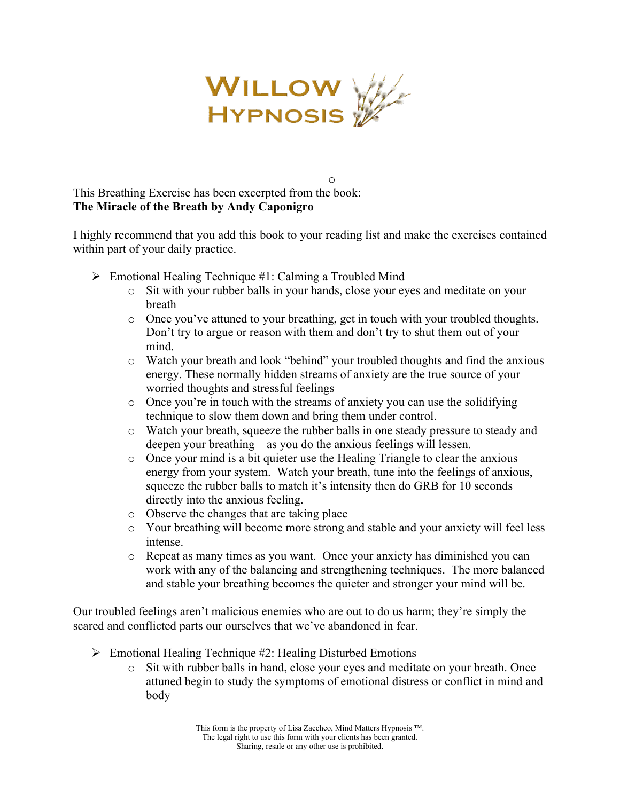

I highly recommend that you add this book to your reading list and make the exercises contained within part of your daily practice.

- $\triangleright$  Emotional Healing Technique #1: Calming a Troubled Mind
	- o Sit with your rubber balls in your hands, close your eyes and meditate on your breath

o

- o Once you've attuned to your breathing, get in touch with your troubled thoughts. Don't try to argue or reason with them and don't try to shut them out of your mind.
- o Watch your breath and look "behind" your troubled thoughts and find the anxious energy. These normally hidden streams of anxiety are the true source of your worried thoughts and stressful feelings
- o Once you're in touch with the streams of anxiety you can use the solidifying technique to slow them down and bring them under control.
- o Watch your breath, squeeze the rubber balls in one steady pressure to steady and deepen your breathing – as you do the anxious feelings will lessen.
- o Once your mind is a bit quieter use the Healing Triangle to clear the anxious energy from your system. Watch your breath, tune into the feelings of anxious, squeeze the rubber balls to match it's intensity then do GRB for 10 seconds directly into the anxious feeling.
- o Observe the changes that are taking place
- o Your breathing will become more strong and stable and your anxiety will feel less intense.
- o Repeat as many times as you want. Once your anxiety has diminished you can work with any of the balancing and strengthening techniques. The more balanced and stable your breathing becomes the quieter and stronger your mind will be.

Our troubled feelings aren't malicious enemies who are out to do us harm; they're simply the scared and conflicted parts our ourselves that we've abandoned in fear.

- $\triangleright$  Emotional Healing Technique #2: Healing Disturbed Emotions
	- o Sit with rubber balls in hand, close your eyes and meditate on your breath. Once attuned begin to study the symptoms of emotional distress or conflict in mind and body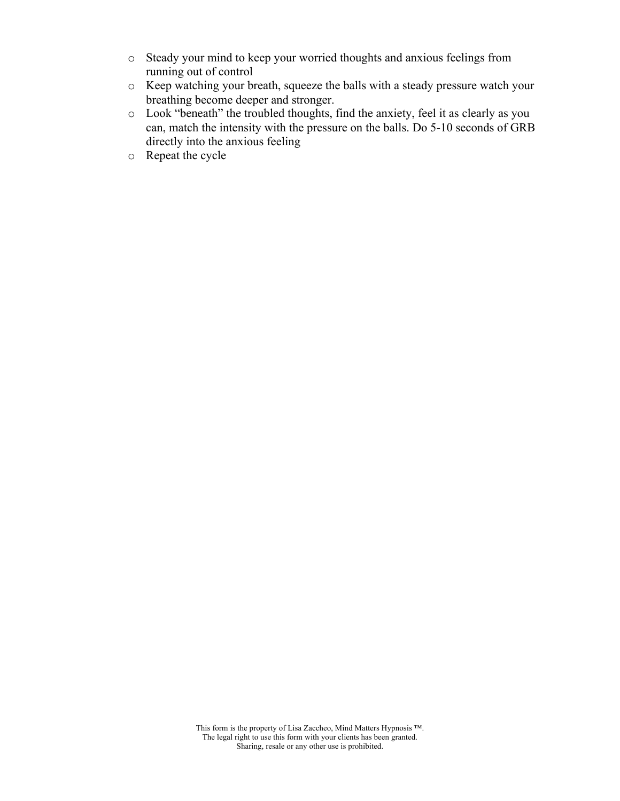- o Steady your mind to keep your worried thoughts and anxious feelings from running out of control
- o Keep watching your breath, squeeze the balls with a steady pressure watch your breathing become deeper and stronger.
- o Look "beneath" the troubled thoughts, find the anxiety, feel it as clearly as you can, match the intensity with the pressure on the balls. Do 5-10 seconds of GRB directly into the anxious feeling
- o Repeat the cycle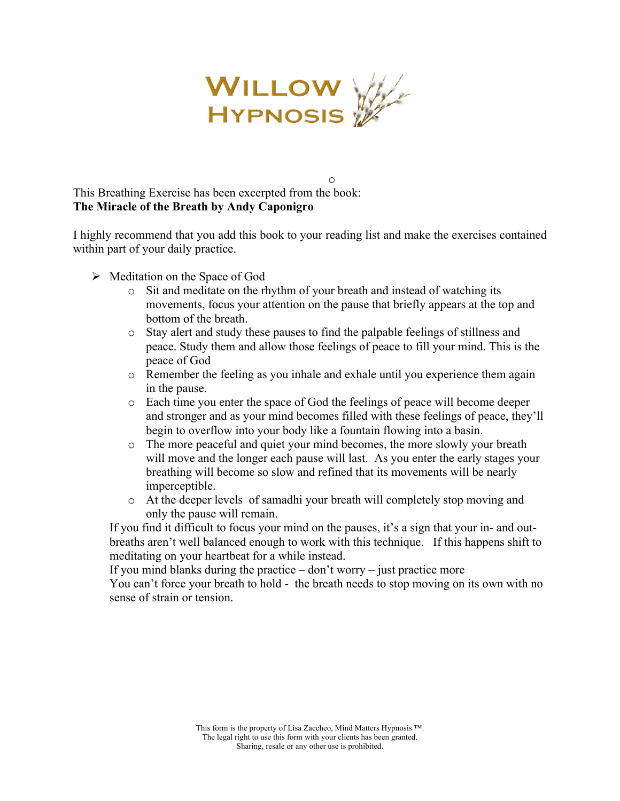

I highly recommend that you add this book to your reading list and make the exercises contained within part of your daily practice.

- $\triangleright$  Meditation on the Space of God
	- o Sit and meditate on the rhythm of your breath and instead of watching its movements, focus your attention on the pause that briefly appears at the top and bottom of the breath.

o

- o Stay alert and study these pauses to find the palpable feelings of stillness and peace. Study them and allow those feelings of peace to fill your mind. This is the peace of God
- o Remember the feeling as you inhale and exhale until you experience them again in the pause.
- o Each time you enter the space of God the feelings of peace will become deeper and stronger and as your mind becomes filled with these feelings of peace, they'll begin to overflow into your body like a fountain flowing into a basin.
- o The more peaceful and quiet your mind becomes, the more slowly your breath will move and the longer each pause will last. As you enter the early stages your breathing will become so slow and refined that its movements will be nearly imperceptible.
- o At the deeper levels of samadhi your breath will completely stop moving and only the pause will remain.

If you find it difficult to focus your mind on the pauses, it's a sign that your in- and outbreaths aren't well balanced enough to work with this technique. If this happens shift to meditating on your heartbeat for a while instead.

If you mind blanks during the practice  $-\text{don't worry} -$  just practice more

You can't force your breath to hold - the breath needs to stop moving on its own with no sense of strain or tension.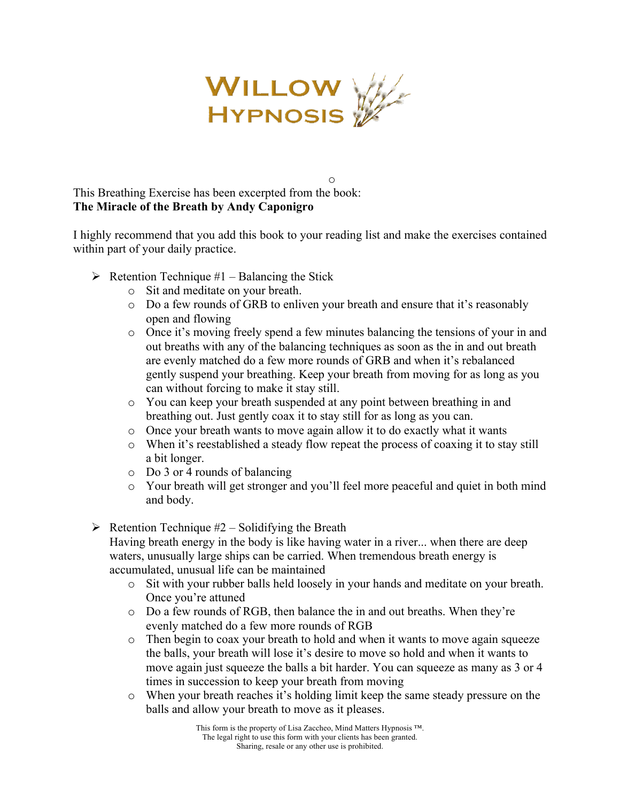

I highly recommend that you add this book to your reading list and make the exercises contained within part of your daily practice.

- $\triangleright$  Retention Technique #1 Balancing the Stick
	- o Sit and meditate on your breath.
	- o Do a few rounds of GRB to enliven your breath and ensure that it's reasonably open and flowing

o

- o Once it's moving freely spend a few minutes balancing the tensions of your in and out breaths with any of the balancing techniques as soon as the in and out breath are evenly matched do a few more rounds of GRB and when it's rebalanced gently suspend your breathing. Keep your breath from moving for as long as you can without forcing to make it stay still.
- o You can keep your breath suspended at any point between breathing in and breathing out. Just gently coax it to stay still for as long as you can.
- o Once your breath wants to move again allow it to do exactly what it wants
- o When it's reestablished a steady flow repeat the process of coaxing it to stay still a bit longer.
- o Do 3 or 4 rounds of balancing
- o Your breath will get stronger and you'll feel more peaceful and quiet in both mind and body.
- $\triangleright$  Retention Technique #2 Solidifying the Breath

Having breath energy in the body is like having water in a river... when there are deep waters, unusually large ships can be carried. When tremendous breath energy is accumulated, unusual life can be maintained

- o Sit with your rubber balls held loosely in your hands and meditate on your breath. Once you're attuned
- o Do a few rounds of RGB, then balance the in and out breaths. When they're evenly matched do a few more rounds of RGB
- o Then begin to coax your breath to hold and when it wants to move again squeeze the balls, your breath will lose it's desire to move so hold and when it wants to move again just squeeze the balls a bit harder. You can squeeze as many as 3 or 4 times in succession to keep your breath from moving
- o When your breath reaches it's holding limit keep the same steady pressure on the balls and allow your breath to move as it pleases.